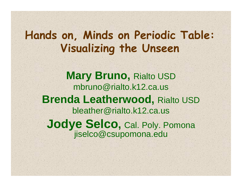#### **Hands on, Minds on Periodic Table: Visualizing the Unseen**

**Mary Bruno,** Rialto USD mbruno@rialto.k12.ca.us **Brenda Leatherwood,** Rialto USD bleather@rialto.k12.ca.us **Jodye Selco,** Cal. Poly. Pomona jiselco@csupomona.edu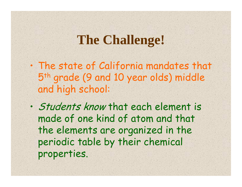# **The Challenge!**

 The state of California mandates that 5th grade (9 and 10 year olds) middle and high school:

•

•

 Students know that each element is made of one kind of atom and that the elements are organized in the periodic table by their chemical properties.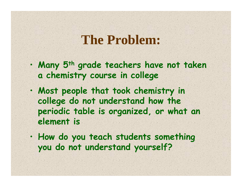#### **The Problem:**

- • **Many 5th grade teachers have not taken a chemistry course in college**
- **Most people that took chemistry in college do not understand how the periodic table is organized, or what an element is**

•

•

 **How do you teach students something you do not understand yourself?**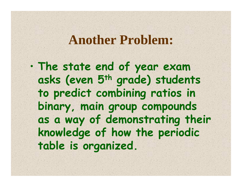#### **Another Problem:**

• **The state end of year exam asks (even 5th grade) students to predict combining ratios in binary, main group compounds as a way of demonstrating their knowledge of how the periodic table is organized.**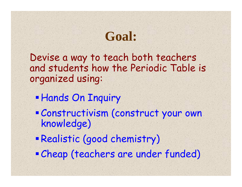# **Goal:**

Devise a way to teach both teachers and students how the Periodic Table is organized using:

- Hands On Inquiry
- Constructivism (construct your own knowledge)
- Realistic (good chemistry)
- Cheap (teachers are under funded)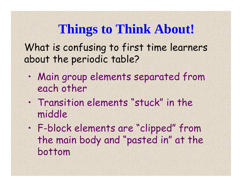## **Things to Think About!**

What is confusing to first time learners about the periodic table?

- • Main group elements separated from each other
- Transition elements "stuck" in the middle

•

•

 F-block elements are "clipped" from the main body and "pasted in" at the bottom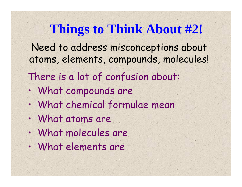# **Things to Think About #2!**

Need to address misconceptions about atoms, elements, compounds, molecules!

There is a lot of confusion about:

- •What compounds are
- •What chemical formulae mean
- •What atoms are
- •What molecules are
- •What elements are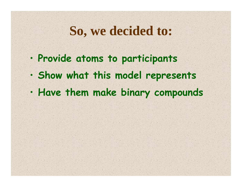## **So, we decided to:**

- $\bullet$ **Provide atoms to participants**
- •**Show what this model represents**
- •**Have them make binary compounds**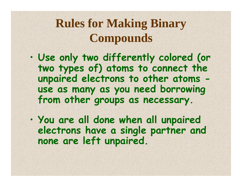## **Rules for Making Binary Compounds**

- $\bullet$  **Use only two differently colored (or two types of) atoms to connect the unpaired electrons to other atoms use as many as you need borrowing from other groups as necessary.**
- **You are all done when all unpaired electrons have a single partner and none are left unpaired.**

•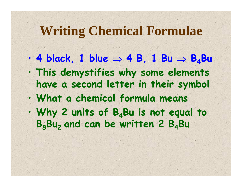# **Writing Chemical Formulae**

- $\bullet$  $\cdot$  4 black, 1 blue  $\Rightarrow$  4 B, 1 Bu  $\Rightarrow$  B<sub>4</sub>Bu
- $\bullet$   $\blacksquare$  abraycele be way camp plomph **This demystifies why some elements have a second letter in their symbol**
- $\bullet$ **What a chemical formula means**
- • **Why 2 units of B <sup>4</sup>Bu is not equal to B <sup>8</sup>Bu2 and can be written 2 B 4Bu**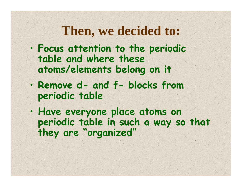#### **Then, we decided to:**

- $\bullet$  **Focus attention to the periodic table and where these atoms/elements belong on it**
- • **Remove d- and f- blocks from periodic table**
- • **Have everyone place atoms on periodic table in such a way so that they are "organized"**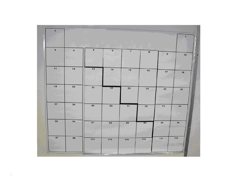|                         |            |                 |         |                |                  |                  | $\overline{\mathbf{2}}$ |
|-------------------------|------------|-----------------|---------|----------------|------------------|------------------|-------------------------|
| $\overline{\mathbf{3}}$ | $\sqrt{4}$ | ${\bf 5}$       | $\bf 6$ | $\overline{7}$ | 8                |                  |                         |
|                         |            |                 |         |                |                  | 9                | 10                      |
| 11                      | $12$       | $\overline{13}$ | 14      | 15             | 16               | $17\,$           | 18                      |
| 19                      | 20         | 31              | 32      | 33             | 34               | $35\phantom{.0}$ | 36                      |
|                         |            |                 |         |                |                  |                  |                         |
| 37                      | 38         | 49              | 50      | 51             | ${\bf 52}$       | 53               | 54                      |
| 55                      | 56         | 81              | 82      | 83             | 84               | 85               | 86                      |
|                         |            |                 |         |                |                  |                  |                         |
| 87                      | 88         | 113             | 114     | $115$          | $\overline{116}$ | $117$<br>м       | 118                     |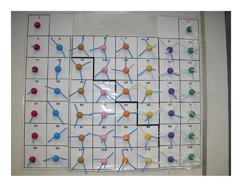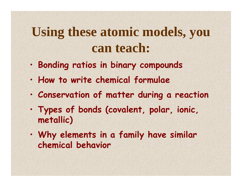# **Using these atomic models, you can teach:**

- •**Bonding ratios in binary compounds**
- •**How to write chemical formulae**
- •**Conservation of matter during a reaction**
- • **Types of bonds (covalent, polar, ionic, metallic)**
- • **Why elements in a family have similar chemical behavior**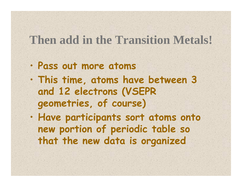#### **Then add in the Transition Metals!**

•**Pass out more atoms**

•

- • **This time, atoms have between 3 and 12 electrons (VSEPR geometries, of course)**
- **Have participants sort atoms onto new portion of periodic table so that the new data is organized**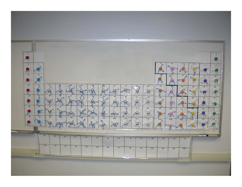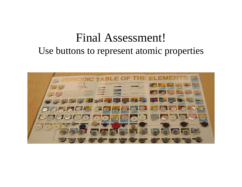#### Final Assessment! Use buttons to represent atomic properties

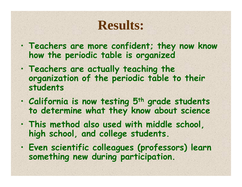# **Results:**

- • **Teachers are more confident; they now know how the periodic table is organized**
- • **Teachers are actually teaching the organization of the periodic table to their students**
- • **California is now testing 5th grade students to determine what they know about science**
- • **This method also used with middle school, high school, and college students.**
- • **Even scientific colleagues (professors) learn something new during participation.**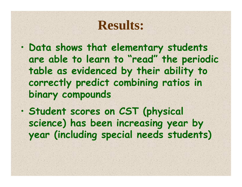# **Results:**

- $\bullet$  **Data shows that elementary students are able to learn to "read" the periodic table as evidenced by their ability to correctly predict combining ratios in binary compounds**
- • **Student scores on CST (physical science) has been increasing year by year (including special needs students)**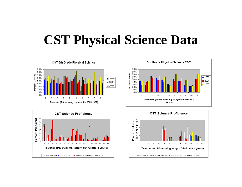# **CST Physical Science Data**







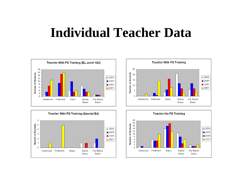# **Individual Teacher Data**







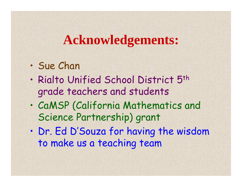#### **Acknowledgements:**

- $\bullet$ Sue Chan
- •· Rialto Unified School District 5th grade teachers and students
- $\bullet$  CaMSP (California Mathematics and Science Partnership) grant
- • Dr. Ed D'Souza for having the wisdom to make us a teaching team